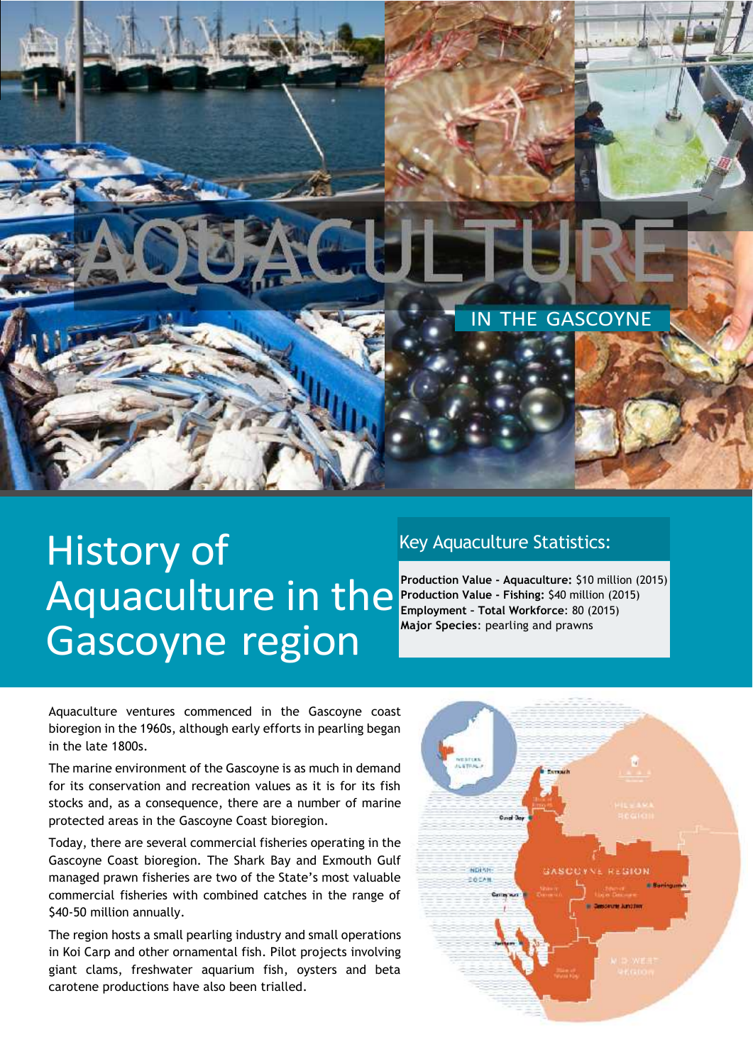

## History of Aquaculture in the Gascoyne region

## Key Aquaculture Statistics:

**Production Value - Aquaculture:** \$10 million (2015) **Production Value - Fishing:** \$40 million (2015) **Employment – Total Workforce**: 80 (2015) **Major Species**: pearling and prawns

Aquaculture ventures commenced in the Gascoyne coast bioregion in the 1960s, although early efforts in pearling began in the late 1800s.

The marine environment of the Gascoyne is as much in demand for its conservation and recreation values as it is for its fish stocks and, as a consequence, there are a number of marine protected areas in the Gascoyne Coast bioregion.

Today, there are several commercial fisheries operating in the Gascoyne Coast bioregion. The Shark Bay and Exmouth Gulf managed prawn fisheries are two of the State's most valuable commercial fisheries with combined catches in the range of \$40-50 million annually.

The region hosts a small pearling industry and small operations in Koi Carp and other ornamental fish. Pilot projects involving giant clams, freshwater aquarium fish, oysters and beta carotene productions have also been trialled.